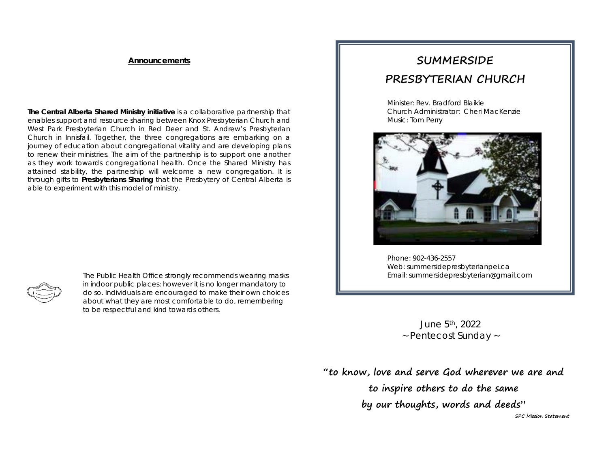#### **Announcements**

**The Central Alberta Shared Ministry initiative** is a collaborative partnership that enables support and resource sharing between Knox Presbyterian Church and West Park Presbyterian Church in Red Deer and St. Andrew's Presbyterian Church in Innisfail. Together, the three congregations are embarking on a journey of education about congregational vitality and are developing plans to renew their ministries. The aim of the partnership is to support one another as they work towards congregational health. Once the Shared Ministry has attained stability, the partnership will welcome a new congregation. It is through gifts to *Presbyterians Sharing* that the Presbytery of Central Alberta is able to experiment with this model of ministry.

|--|

*The Public Health Office strongly recommends wearing masks in indoor public places; however it is no longer mandatory to do so. Individuals are encouraged to make their own choices about what they are most comfortable to do, remembering to be respectful and kind towards others.*

# **SUMMERSIDE PRESBYTERIAN CHURCH**

Minister: Rev. Bradford Blaikie Church Administrator: Cheri MacKenzie Music: Tom Perry



Phone: 902-436-2557 Web: summersidepresbyterianpei.ca Email: summersidepresbyterian@gmail.com

j

June 5th, 2022 ~ Pentecost Sunday ~

**"to know, love and serve God wherever we are and to inspire others to do the same by our thoughts, words and deeds" SPC Mission Statement**